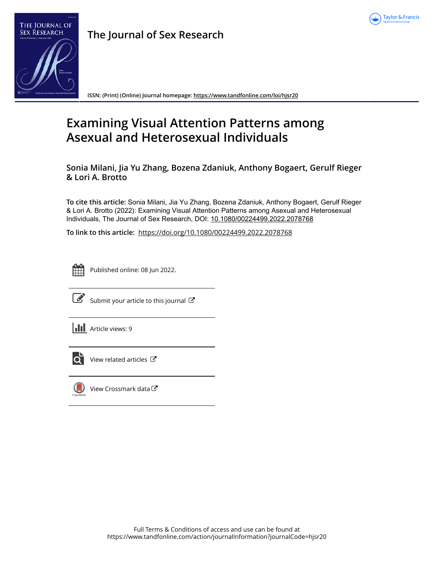



**The Journal of Sex Research**

**ISSN: (Print) (Online) Journal homepage:<https://www.tandfonline.com/loi/hjsr20>**

# **Examining Visual Attention Patterns among Asexual and Heterosexual Individuals**

**Sonia Milani, Jia Yu Zhang, Bozena Zdaniuk, Anthony Bogaert, Gerulf Rieger & Lori A. Brotto**

**To cite this article:** Sonia Milani, Jia Yu Zhang, Bozena Zdaniuk, Anthony Bogaert, Gerulf Rieger & Lori A. Brotto (2022): Examining Visual Attention Patterns among Asexual and Heterosexual Individuals, The Journal of Sex Research, DOI: [10.1080/00224499.2022.2078768](https://www.tandfonline.com/action/showCitFormats?doi=10.1080/00224499.2022.2078768)

**To link to this article:** <https://doi.org/10.1080/00224499.2022.2078768>



Published online: 08 Jun 2022.



[Submit your article to this journal](https://www.tandfonline.com/action/authorSubmission?journalCode=hjsr20&show=instructions)  $\mathbb{Z}$ 

**Article views: 9** 



 $\overrightarrow{Q}$  [View related articles](https://www.tandfonline.com/doi/mlt/10.1080/00224499.2022.2078768)  $\overrightarrow{C}$ 



 $\bigcirc$  [View Crossmark data](http://crossmark.crossref.org/dialog/?doi=10.1080/00224499.2022.2078768&domain=pdf&date_stamp=2022-06-08) $\mathbb{Z}$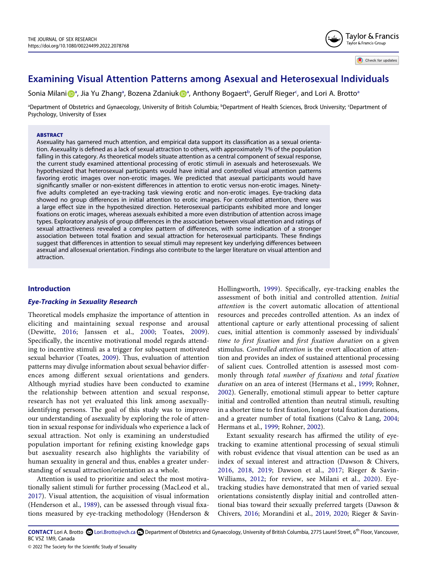# **Examining Visual Attention Patterns among Asexual and Heterosexual Individuals**

Soni[a](#page-1-0) Milani <mark>D</mark><sup>a</sup>, Jia Yu Zhang<sup>a</sup>, Bozena Zdaniuk Da, Anthony Bo[ga](#page-1-0)ert<sup>[b](#page-1-0)</sup>, Gerulf Rieger<sup>c</sup>, and Lori A. Brotto<sup>a</sup>

<span id="page-1-0"></span><sup>a</sup>Department of Obstetrics and Gynaecology, University of British Columbia; <sup>b</sup>Department of Health Sciences, Brock University; <sup>c</sup>Department of Psychology, University of Essex

#### **ABSTRACT**

Asexuality has garnered much attention, and empirical data support its classification as a sexual orientation. Asexuality is defined as a lack of sexual attraction to others, with approximately 1% of the population falling in this category. As theoretical models situate attention as a central component of sexual response, the current study examined attentional processing of erotic stimuli in asexuals and heterosexuals. We hypothesized that heterosexual participants would have initial and controlled visual attention patterns favoring erotic images over non-erotic images. We predicted that asexual participants would have significantly smaller or non-existent differences in attention to erotic versus non-erotic images. Ninetyfive adults completed an eye-tracking task viewing erotic and non-erotic images. Eye-tracking data showed no group differences in initial attention to erotic images. For controlled attention, there was a large effect size in the hypothesized direction. Heterosexual participants exhibited more and longer fixations on erotic images, whereas asexuals exhibited a more even distribution of attention across image types. Exploratory analysis of group differences in the association between visual attention and ratings of sexual attractiveness revealed a complex pattern of differences, with some indication of a stronger association between total fixation and sexual attraction for heterosexual participants. These findings suggest that differences in attention to sexual stimuli may represent key underlying differences between asexual and allosexual orientation. Findings also contribute to the larger literature on visual attention and attraction.

#### **Introduction**

#### *Eye-Tracking in Sexuality Research*

<span id="page-1-10"></span><span id="page-1-4"></span>Theoretical models emphasize the importance of attention in eliciting and maintaining sexual response and arousal (Dewitte, [2016](#page-11-0); Janssen et al., [2000](#page-11-1); Toates, [2009](#page-11-2)). Specifically, the incentive motivational model regards attending to incentive stimuli as a trigger for subsequent motivated sexual behavior (Toates, [2009\)](#page-11-2). Thus, evaluation of attention patterns may divulge information about sexual behavior differences among different sexual orientations and genders. Although myriad studies have been conducted to examine the relationship between attention and sexual response, research has not yet evaluated this link among asexuallyidentifying persons. The goal of this study was to improve our understanding of asexuality by exploring the role of attention in sexual response for individuals who experience a lack of sexual attraction. Not only is examining an understudied population important for refining existing knowledge gaps but asexuality research also highlights the variability of human sexuality in general and thus, enables a greater understanding of sexual attraction/orientation as a whole.

<span id="page-1-8"></span><span id="page-1-6"></span>Attention is used to prioritize and select the most motivationally salient stimuli for further processing (MacLeod et al., [2017](#page-11-3)). Visual attention, the acquisition of visual information (Henderson et al., [1989](#page-11-4)), can be assessed through visual fixations measured by eye-tracking methodology (Henderson & <span id="page-1-5"></span>Hollingworth, [1999](#page-11-5)). Specifically, eye-tracking enables the assessment of both initial and controlled attention. *Initial attention* is the covert automatic allocation of attentional resources and precedes controlled attention. As an index of attentional capture or early attentional processing of salient cues, initial attention is commonly assessed by individuals' *time to first fixation* and *first fixation duration* on a given stimulus. *Controlled attention* is the overt allocation of attention and provides an index of sustained attentional processing of salient cues. Controlled attention is assessed most commonly through *total number of fixations* and *total fixation duration* on an area of interest (Hermans et al., [1999;](#page-11-6) Rohner, [2002](#page-11-7)). Generally, emotional stimuli appear to better capture initial and controlled attention than neutral stimuli, resulting in a shorter time to first fixation, longer total fixation durations, and a greater number of total fixations (Calvo & Lang, [2004;](#page-11-8) Hermans et al., [1999;](#page-11-6) Rohner, [2002](#page-11-7)).

<span id="page-1-9"></span><span id="page-1-7"></span><span id="page-1-3"></span><span id="page-1-2"></span><span id="page-1-1"></span>Extant sexuality research has affirmed the utility of eyetracking to examine attentional processing of sexual stimuli with robust evidence that visual attention can be used as an index of sexual interest and attraction (Dawson & Chivers, [2016,](#page-11-9) [2018,](#page-11-10) [2019](#page-11-11); Dawson et al., [2017;](#page-11-12) Rieger & Savin-Williams, [2012;](#page-11-13) for review, see Milani et al., [2020\)](#page-11-14). Eyetracking studies have demonstrated that men of varied sexual orientations consistently display initial and controlled attentional bias toward their sexually preferred targets (Dawson & Chivers, [2016](#page-11-9); Morandini et al., [2019,](#page-11-15) [2020](#page-11-16); Rieger & Savin-

CONTACT Lori A. Brotto **©** Lori.Brotto@vch.ca **□** Department of Obstetrics and Gynaecology, University of British Columbia, 2775 Laurel Street, 6<sup>th</sup> Floor, Vancouver, BC V5Z 1M9, Canada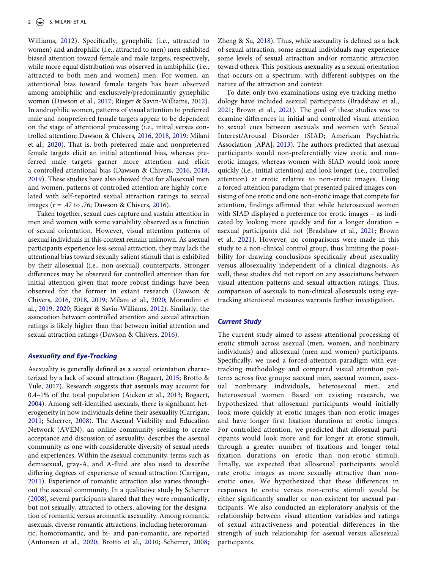Williams, [2012\)](#page-11-13). Specifically, gynephilic (i.e., attracted to women) and androphilic (i.e., attracted to men) men exhibited biased attention toward female and male targets, respectively, while more equal distribution was observed in ambiphilic (i.e., attracted to both men and women) men. For women, an attentional bias toward female targets has been observed among ambiphilic and exclusively/predominantly gynephilic women (Dawson et al., [2017;](#page-11-12) Rieger & Savin-Williams, [2012](#page-11-13)). In androphilic women, patterns of visual attention to preferred male and nonpreferred female targets appear to be dependent on the stage of attentional processing (i.e., initial versus controlled attention; Dawson & Chivers, [2016,](#page-11-9) [2018,](#page-11-10) [2019](#page-11-11); Milani et al., [2020](#page-11-14)). That is, both preferred male and nonpreferred female targets elicit an initial attentional bias, whereas preferred male targets garner more attention and elicit a controlled attentional bias (Dawson & Chivers, [2016,](#page-11-9) [2018,](#page-11-10) [2019](#page-11-11)). These studies have also showed that for allosexual men and women, patterns of controlled attention are highly correlated with self-reported sexual attraction ratings to sexual images (*r* = .47 to .76; Dawson & Chivers, [2016\)](#page-11-9).

Taken together, sexual cues capture and sustain attention in men and women with some variability observed as a function of sexual orientation. However, visual attention patterns of asexual individuals in this context remain unknown. As asexual participants experience less sexual attraction, they may lack the attentional bias toward sexually salient stimuli that is exhibited by their allosexual (i.e., non-asexual) counterparts. Stronger differences may be observed for controlled attention than for initial attention given that more robust findings have been observed for the former in extant research (Dawson & Chivers, [2016](#page-11-9), [2018,](#page-11-10) [2019](#page-11-11); Milani et al., [2020;](#page-11-14) Morandini et al., [2019,](#page-11-15) [2020](#page-11-16); Rieger & Savin-Williams, [2012](#page-11-13)). Similarly, the association between controlled attention and sexual attraction ratings is likely higher than that between initial attention and sexual attraction ratings (Dawson & Chivers, [2016](#page-11-9)).

#### *Asexuality and Eye-Tracking*

<span id="page-2-7"></span><span id="page-2-5"></span><span id="page-2-3"></span><span id="page-2-2"></span><span id="page-2-0"></span>Asexuality is generally defined as a sexual orientation characterized by a lack of sexual attraction (Bogaert, [2015;](#page-10-0) Brotto & Yule, [2017](#page-11-17)). Research suggests that asexuals may account for 0.4–1% of the total population (Aicken et al., [2013;](#page-10-1) Bogaert, [2004](#page-10-2)). Among self-identified asexuals, there is significant heterogeneity in how individuals define their asexuality (Carrigan, [2011](#page-11-18); Scherrer, [2008](#page-11-19)). The Asexual Visibility and Education Network (AVEN), an online community seeking to create acceptance and discussion of asexuality, describes the asexual community as one with considerable diversity of sexual needs and experiences. Within the asexual community, terms such as demisexual, gray-A, and A-fluid are also used to describe differing degrees of experience of sexual attraction (Carrigan, [2011](#page-11-18)). Experience of romantic attraction also varies throughout the asexual community. In a qualitative study by Scherrer [\(2008\)](#page-11-19), several participants shared that they were romantically, but not sexually, attracted to others, allowing for the designation of romantic versus aromantic asexuality. Among romantic asexuals, diverse romantic attractions, including heteroromantic, homoromantic, and bi- and pan-romantic, are reported (Antonsen et al., [2020](#page-10-3); Brotto et al., [2010;](#page-11-20) Scherrer, [2008;](#page-11-19)

<span id="page-2-8"></span>Zheng & Su, [2018](#page-11-21)). Thus, while asexuality is defined as a lack of sexual attraction, some asexual individuals may experience some levels of sexual attraction and/or romantic attraction toward others. This positions asexuality as a sexual orientation that occurs on a spectrum, with different subtypes on the nature of the attraction and context.

<span id="page-2-1"></span>To date, only two examinations using eye-tracking methodology have included asexual participants (Bradshaw et al., [2021](#page-11-22); Brown et al., [2021\)](#page-11-23). The goal of these studies was to examine differences in initial and controlled visual attention to sexual cues between asexuals and women with Sexual Interest/Arousal Disorder (SIAD; American Psychiatric Association [APA], [2013](#page-10-4)). The authors predicted that asexual participants would non-preferentially view erotic and nonerotic images, whereas women with SIAD would look more quickly (i.e., initial attention) and look longer (i.e., controlled attention) at erotic relative to non-erotic images. Using a forced-attention paradigm that presented paired images consisting of one erotic and one non-erotic image that compete for attention, findings affirmed that while heterosexual women with SIAD displayed a preference for erotic images – as indicated by looking more quickly and for a longer duration – asexual participants did not (Bradshaw et al., [2021](#page-11-22); Brown et al., [2021\)](#page-11-23). However, no comparisons were made in this study to a non-clinical control group, thus limiting the possibility for drawing conclusions specifically about asexuality versus allosexuality independent of a clinical diagnosis. As well, these studies did not report on any associations between visual attention patterns and sexual attraction ratings. Thus, comparison of asexuals to non-clinical allosexuals using eyetracking attentional measures warrants further investigation.

#### <span id="page-2-6"></span><span id="page-2-4"></span>*Current Study*

The current study aimed to assess attentional processing of erotic stimuli across asexual (men, women, and nonbinary individuals) and allosexual (men and women) participants. Specifically, we used a forced-attention paradigm with eyetracking methodology and compared visual attention patterns across five groups: asexual men, asexual women, asexual nonbinary individuals, heterosexual men, and heterosexual women. Based on existing research, we hypothesized that allosexual participants would initially look more quickly at erotic images than non-erotic images and have longer first fixation durations at erotic images. For controlled attention, we predicted that allosexual participants would look more and for longer at erotic stimuli, through a greater number of fixations and longer total fixation durations on erotic than non-erotic stimuli. Finally, we expected that allosexual participants would rate erotic images as more sexually attractive than nonerotic ones. We hypothesized that these differences in responses to erotic versus non-erotic stimuli would be either significantly smaller or non-existent for asexual participants. We also conducted an exploratory analysis of the relationship between visual attention variables and ratings of sexual attractiveness and potential differences in the strength of such relationship for asexual versus allosexual participants.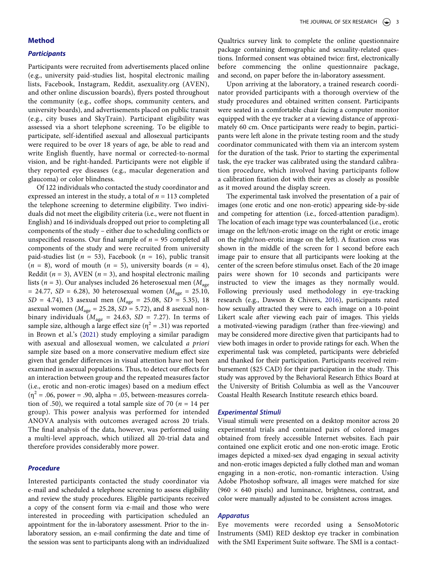#### **Method**

#### *Participants*

Participants were recruited from advertisements placed online (e.g., university paid-studies list, hospital electronic mailing lists, Facebook, Instagram, Reddit, asexuality.org (AVEN), and other online discussion boards), flyers posted throughout the community (e.g., coffee shops, community centers, and university boards), and advertisements placed on public transit (e.g., city buses and SkyTrain). Participant eligibility was assessed via a short telephone screening. To be eligible to participate, self-identified asexual and allosexual participants were required to be over 18 years of age, be able to read and write English fluently, have normal or corrected-to-normal vision, and be right-handed. Participants were not eligible if they reported eye diseases (e.g., macular degeneration and glaucoma) or color blindness.

Of 122 individuals who contacted the study coordinator and expressed an interest in the study, a total of *n* = 113 completed the telephone screening to determine eligibility. Two individuals did not meet the eligibility criteria (i.e., were not fluent in English) and 16 individuals dropped out prior to completing all components of the study – either due to scheduling conflicts or unspecified reasons. Our final sample of *n* = 95 completed all components of the study and were recruited from university paid-studies list (*n* = 53), Facebook (*n* = 16), public transit  $(n = 8)$ , word of mouth  $(n = 5)$ , university boards  $(n = 4)$ , Reddit  $(n = 3)$ , AVEN  $(n = 3)$ , and hospital electronic mailing lists (*n* = 3). Our analyses included 26 heterosexual men (*M*age  $= 24.77, SD = 6.28$ ), 30 heterosexual women ( $M_{\text{age}} = 25.10$ , *SD* = 4.74), 13 asexual men (*M*age = 25.08, *SD* = 5.35), 18 asexual women ( $M_{\text{age}} = 25.28$ ,  $SD = 5.72$ ), and 8 asexual nonbinary individuals ( $M_{\text{age}} = 24.63$ ,  $SD = 7.27$ ). In terms of sample size, although a large effect size ( $\eta^2$  = .31) was reported in Brown et al.'s ([2021\)](#page-11-23) study employing a similar paradigm with asexual and allosexual women, we calculated *a priori*  sample size based on a more conservative medium effect size given that gender differences in visual attention have not been examined in asexual populations. Thus, to detect our effects for an interaction between group and the repeated measures factor (i.e., erotic and non-erotic images) based on a medium effect  $(\eta^2 = .06,$  power = .90, alpha = .05, between-measures correlation of .50), we required a total sample size of 70 ( $n = 14$  per group). This power analysis was performed for intended ANOVA analysis with outcomes averaged across 20 trials. The final analysis of the data, however, was performed using a multi-level approach, which utilized all 20-trial data and therefore provides considerably more power.

# *Procedure*

Interested participants contacted the study coordinator via e-mail and scheduled a telephone screening to assess eligibility and review the study procedures. Eligible participants received a copy of the consent form via e-mail and those who were interested in proceeding with participation scheduled an appointment for the in-laboratory assessment. Prior to the inlaboratory session, an e-mail confirming the date and time of the session was sent to participants along with an individualized

Qualtrics survey link to complete the online questionnaire package containing demographic and sexuality-related questions. Informed consent was obtained twice: first, electronically before commencing the online questionnaire package, and second, on paper before the in-laboratory assessment.

Upon arriving at the laboratory, a trained research coordinator provided participants with a thorough overview of the study procedures and obtained written consent. Participants were seated in a comfortable chair facing a computer monitor equipped with the eye tracker at a viewing distance of approximately 60 cm. Once participants were ready to begin, participants were left alone in the private testing room and the study coordinator communicated with them via an intercom system for the duration of the task. Prior to starting the experimental task, the eye tracker was calibrated using the standard calibration procedure, which involved having participants follow a calibration fixation dot with their eyes as closely as possible as it moved around the display screen.

The experimental task involved the presentation of a pair of images (one erotic and one non-erotic) appearing side-by-side and competing for attention (i.e., forced-attention paradigm). The location of each image type was counterbalanced (i.e., erotic image on the left/non-erotic image on the right or erotic image on the right/non-erotic image on the left). A fixation cross was shown in the middle of the screen for 1 second before each image pair to ensure that all participants were looking at the center of the screen before stimulus onset. Each of the 20 image pairs were shown for 10 seconds and participants were instructed to view the images as they normally would. Following previously used methodology in eye-tracking research (e.g., Dawson & Chivers, [2016](#page-11-9)), participants rated how sexually attracted they were to each image on a 10-point Likert scale after viewing each pair of images. This yields a motivated-viewing paradigm (rather than free-viewing) and may be considered more directive given that participants had to view both images in order to provide ratings for each. When the experimental task was completed, participants were debriefed and thanked for their participation. Participants received reimbursement (\$25 CAD) for their participation in the study. This study was approved by the Behavioral Research Ethics Board at the University of British Columbia as well as the Vancouver Coastal Health Research Institute research ethics board.

#### *Experimental Stimuli*

Visual stimuli were presented on a desktop monitor across 20 experimental trials and contained pairs of colored images obtained from freely accessible Internet websites. Each pair contained one explicit erotic and one non-erotic image. Erotic images depicted a mixed-sex dyad engaging in sexual activity and non-erotic images depicted a fully clothed man and woman engaging in a non-erotic, non-romantic interaction. Using Adobe Photoshop software, all images were matched for size (960  $\times$  640 pixels) and luminance, brightness, contrast, and color were manually adjusted to be consistent across images.

#### *Apparatus*

Eye movements were recorded using a SensoMotoric Instruments (SMI) RED desktop eye tracker in combination with the SMI Experiment Suite software. The SMI is a contact-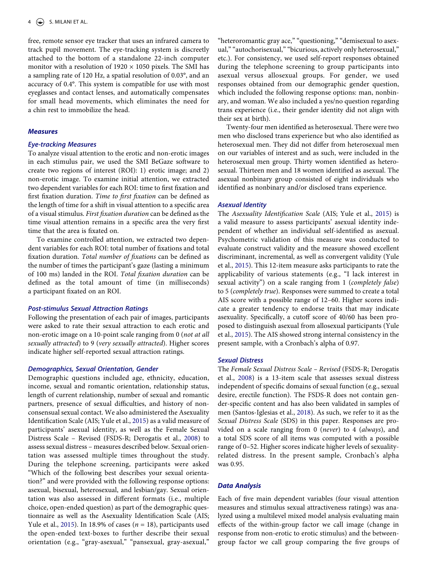free, remote sensor eye tracker that uses an infrared camera to track pupil movement. The eye-tracking system is discreetly attached to the bottom of a standalone 22-inch computer monitor with a resolution of  $1920 \times 1050$  pixels. The SMI has a sampling rate of 120 Hz, a spatial resolution of 0.03°, and an accuracy of 0.4°. This system is compatible for use with most eyeglasses and contact lenses, and automatically compensates for small head movements, which eliminates the need for a chin rest to immobilize the head.

#### *Measures*

#### *Eye-tracking Measures*

To analyze visual attention to the erotic and non-erotic images in each stimulus pair, we used the SMI BeGaze software to create two regions of interest (ROI): 1) erotic image; and 2) non-erotic image. To examine initial attention, we extracted two dependent variables for each ROI: time to first fixation and first fixation duration. *Time to first fixation* can be defined as the length of time for a shift in visual attention to a specific area of a visual stimulus. *First fixation duration* can be defined as the time visual attention remains in a specific area the very first time that the area is fixated on.

To examine controlled attention, we extracted two dependent variables for each ROI: total number of fixations and total fixation duration. *Total number of fixations* can be defined as the number of times the participant's gaze (lasting a minimum of 100 ms) landed in the ROI. *Total fixation duration* can be defined as the total amount of time (in milliseconds) a participant fixated on an ROI.

# *Post-stimulus Sexual Attraction Ratings*

Following the presentation of each pair of images, participants were asked to rate their sexual attraction to each erotic and non-erotic image on a 10-point scale ranging from 0 (*not at all sexually attracted*) to 9 (*very sexually attracted*). Higher scores indicate higher self-reported sexual attraction ratings.

# *Demographics, Sexual Orientation, Gender*

Demographic questions included age, ethnicity, education, income, sexual and romantic orientation, relationship status, length of current relationship, number of sexual and romantic partners, presence of sexual difficulties, and history of nonconsensual sexual contact. We also administered the Asexuality Identification Scale (AIS; Yule et al., [2015](#page-11-24)) as a valid measure of participants' asexual identity, as well as the Female Sexual Distress Scale – Revised (FSDS-R; Derogatis et al., [2008](#page-11-25)) to assess sexual distress – measures described below. Sexual orientation was assessed multiple times throughout the study. During the telephone screening, participants were asked "Which of the following best describes your sexual orientation?" and were provided with the following response options: asexual, bisexual, heterosexual, and lesbian/gay. Sexual orientation was also assessed in different formats (i.e., multiple choice, open-ended question) as part of the demographic questionnaire as well as the Asexuality Identification Scale (AIS; Yule et al., [2015](#page-11-24)). In 18.9% of cases (*n* = 18), participants used the open-ended text-boxes to further describe their sexual orientation (e.g., "gray-asexual," "pansexual, gray-asexual,"

"heteroromantic gray ace," "questioning," "demisexual to asexual," "autochorisexual," "bicurious, actively only heterosexual," etc.). For consistency, we used self-report responses obtained during the telephone screening to group participants into asexual versus allosexual groups. For gender, we used responses obtained from our demographic gender question, which included the following response options: man, nonbinary, and woman. We also included a yes/no question regarding trans experience (i.e., their gender identity did not align with their sex at birth).

Twenty-four men identified as heterosexual. There were two men who disclosed trans experience but who also identified as heterosexual men. They did not differ from heterosexual men on our variables of interest and as such, were included in the heterosexual men group. Thirty women identified as heterosexual. Thirteen men and 18 women identified as asexual. The asexual nonbinary group consisted of eight individuals who identified as nonbinary and/or disclosed trans experience.

#### *Asexual Identity*

The *Asexuality Identification Scale* (AIS; Yule et al., [2015](#page-11-24)) is a valid measure to assess participants' asexual identity independent of whether an individual self-identified as asexual. Psychometric validation of this measure was conducted to evaluate construct validity and the measure showed excellent discriminant, incremental, as well as convergent validity (Yule et al., [2015\)](#page-11-24). This 12-item measure asks participants to rate the applicability of various statements (e.g., "I lack interest in sexual activity") on a scale ranging from 1 (*completely false*) to 5 (*completely true*). Responses were summed to create a total AIS score with a possible range of 12–60. Higher scores indicate a greater tendency to endorse traits that may indicate asexuality. Specifically, a cutoff score of 40/60 has been proposed to distinguish asexual from allosexual participants (Yule et al., [2015](#page-11-24)). The AIS showed strong internal consistency in the present sample, with a Cronbach's alpha of 0.97.

#### <span id="page-4-2"></span>*Sexual Distress*

<span id="page-4-1"></span><span id="page-4-0"></span>The *Female Sexual Distress Scale – Revised* (FSDS-R; Derogatis et al., [2008](#page-11-25)) is a 13-item scale that assesses sexual distress independent of specific domains of sexual function (e.g., sexual desire, erectile function). The FSDS-R does not contain gender-specific content and has also been validated in samples of men (Santos-Iglesias et al., [2018](#page-11-26)). As such, we refer to it as the *Sexual Distress Scale* (SDS) in this paper. Responses are provided on a scale ranging from 0 (*never*) to 4 (*always*), and a total SDS score of all items was computed with a possible range of 0–52. Higher scores indicate higher levels of sexualityrelated distress. In the present sample, Cronbach's alpha was 0.95.

# *Data Analysis*

Each of five main dependent variables (four visual attention measures and stimulus sexual attractiveness ratings) was analyzed using a multilevel mixed model analysis evaluating main effects of the within-group factor we call image (change in response from non-erotic to erotic stimulus) and the betweengroup factor we call group comparing the five groups of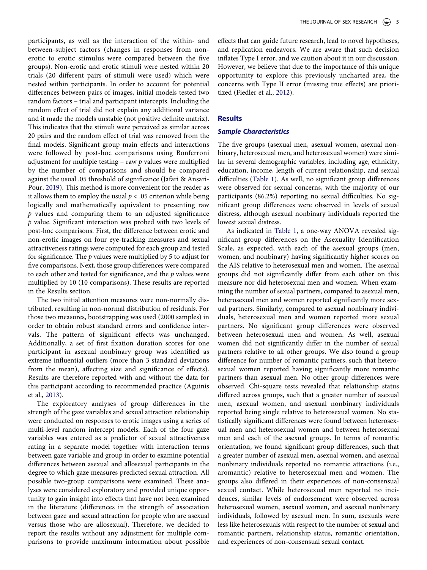participants, as well as the interaction of the within- and between-subject factors (changes in responses from nonerotic to erotic stimulus were compared between the five groups). Non-erotic and erotic stimuli were nested within 20 trials (20 different pairs of stimuli were used) which were nested within participants. In order to account for potential differences between pairs of images, initial models tested two random factors – trial and participant intercepts. Including the random effect of trial did not explain any additional variance and it made the models unstable (not positive definite matrix). This indicates that the stimuli were perceived as similar across 20 pairs and the random effect of trial was removed from the final models. Significant group main effects and interactions were followed by post-hoc comparisons using Bonferroni adjustment for multiple testing – raw *p* values were multiplied by the number of comparisons and should be compared against the usual .05 threshold of significance (Jafari & Ansari-Pour, [2019\)](#page-11-27). This method is more convenient for the reader as it allows them to employ the usual  $p < .05$  criterion while being logically and mathematically equivalent to presenting raw *p* values and comparing them to an adjusted significance *p* value. Significant interaction was probed with two levels of post-hoc comparisons. First, the difference between erotic and non-erotic images on four eye-tracking measures and sexual attractiveness ratings were computed for each group and tested for significance. The *p* values were multiplied by 5 to adjust for five comparisons. Next, those group differences were compared to each other and tested for significance, and the *p* values were multiplied by 10 (10 comparisons). These results are reported in the Results section.

<span id="page-5-2"></span>The two initial attention measures were non-normally distributed, resulting in non-normal distribution of residuals. For those two measures, bootstrapping was used (2000 samples) in order to obtain robust standard errors and confidence intervals. The pattern of significant effects was unchanged. Additionally, a set of first fixation duration scores for one participant in asexual nonbinary group was identified as extreme influential outliers (more than 3 standard deviations from the mean), affecting size and significance of effects). Results are therefore reported with and without the data for this participant according to recommended practice (Aguinis et al., [2013\)](#page-10-5).

<span id="page-5-0"></span>The exploratory analyses of group differences in the strength of the gaze variables and sexual attraction relationship were conducted on responses to erotic images using a series of multi-level random intercept models. Each of the four gaze variables was entered as a predictor of sexual attractiveness rating in a separate model together with interaction terms between gaze variable and group in order to examine potential differences between asexual and allosexual participants in the degree to which gaze measures predicted sexual attraction. All possible two-group comparisons were examined. These analyses were considered exploratory and provided unique opportunity to gain insight into effects that have not been examined in the literature (differences in the strength of association between gaze and sexual attraction for people who are asexual versus those who are allosexual). Therefore, we decided to report the results without any adjustment for multiple comparisons to provide maximum information about possible

effects that can guide future research, lead to novel hypotheses, and replication endeavors. We are aware that such decision inflates Type I error, and we caution about it in our discussion. However, we believe that due to the importance of this unique opportunity to explore this previously uncharted area, the concerns with Type II error (missing true effects) are prioritized (Fiedler et al., [2012](#page-11-28)).

# <span id="page-5-1"></span>**Results**

#### *Sample Characteristics*

The five groups (asexual men, asexual women, asexual nonbinary, heterosexual men, and heterosexual women) were similar in several demographic variables, including age, ethnicity, education, income, length of current relationship, and sexual difficulties [\(Table 1\)](#page-6-0). As well, no significant group differences were observed for sexual concerns, with the majority of our participants (86.2%) reporting no sexual difficulties. No significant group differences were observed in levels of sexual distress, although asexual nonbinary individuals reported the lowest sexual distress.

As indicated in [Table 1,](#page-6-0) a one-way ANOVA revealed significant group differences on the Asexuality Identification Scale, as expected, with each of the asexual groups (men, women, and nonbinary) having significantly higher scores on the AIS relative to heterosexual men and women. The asexual groups did not significantly differ from each other on this measure nor did heterosexual men and women. When examining the number of sexual partners, compared to asexual men, heterosexual men and women reported significantly more sexual partners. Similarly, compared to asexual nonbinary individuals, heterosexual men and women reported more sexual partners. No significant group differences were observed between heterosexual men and women. As well, asexual women did not significantly differ in the number of sexual partners relative to all other groups. We also found a group difference for number of romantic partners, such that heterosexual women reported having significantly more romantic partners than asexual men. No other group differences were observed. Chi-square tests revealed that relationship status differed across groups, such that a greater number of asexual men, asexual women, and asexual nonbinary individuals reported being single relative to heterosexual women. No statistically significant differences were found between heterosexual men and heterosexual women and between heterosexual men and each of the asexual groups. In terms of romantic orientation, we found significant group differences, such that a greater number of asexual men, asexual women, and asexual nonbinary individuals reported no romantic attractions (i.e., aromantic) relative to heterosexual men and women. The groups also differed in their experiences of non-consensual sexual contact. While heterosexual men reported no incidences, similar levels of endorsement were observed across heterosexual women, asexual women, and asexual nonbinary individuals, followed by asexual men. In sum, asexuals were less like heterosexuals with respect to the number of sexual and romantic partners, relationship status, romantic orientation, and experiences of non-consensual sexual contact.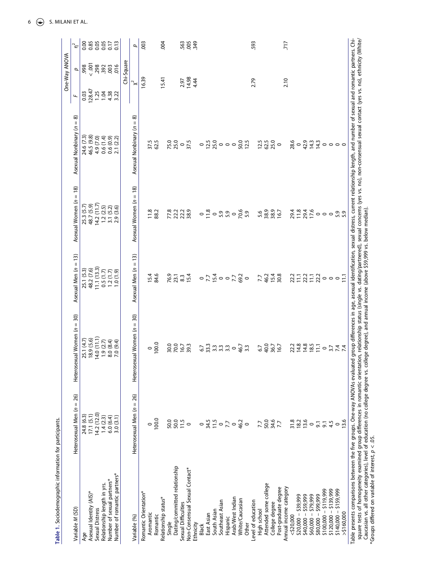<span id="page-6-0"></span>

| Relationship length in yrs.<br>Asexual Identity (AIS)*<br>Sexual Distress<br>Variable M (SD)<br>Age |                             |                                                                        |                                    |                                                                                                                                                                                                                                                                                             |                                 |                            | One-Way ANOVA   |          |
|-----------------------------------------------------------------------------------------------------|-----------------------------|------------------------------------------------------------------------|------------------------------------|---------------------------------------------------------------------------------------------------------------------------------------------------------------------------------------------------------------------------------------------------------------------------------------------|---------------------------------|----------------------------|-----------------|----------|
|                                                                                                     | Heterosexual Men $(n = 26)$ | Heterosexual Women $(n = 30)$                                          | Asexual Men $(n = 13)$             | Asexual Women $(n = 18)$                                                                                                                                                                                                                                                                    | ଛ<br>Asexual Nonbinary $(n =$   | $\overline{a}$             | 4               | $\Gamma$ |
|                                                                                                     | 24.8 (6.3)                  | 25.1 (4.7)                                                             | 25.1 (5.3)                         | 25.3 (5.7)<br>48.7 (5.9)                                                                                                                                                                                                                                                                    | 24.6 (7.3)<br>46.5 (9.8)        | 0.03                       | 998             | 0.85     |
|                                                                                                     | 17.1(5.1)                   | 18.9(5.6)                                                              | 48.2 (7.6)                         |                                                                                                                                                                                                                                                                                             |                                 | 128.47                     | $\overline{00}$ |          |
|                                                                                                     | 14.2(12.0)                  | 14.0(11.1)                                                             | 11.1(13.3)                         | 14.2(11.7)                                                                                                                                                                                                                                                                                  | 4.9 (7.0)                       | 1.25                       | 298<br>392      | 0.05     |
|                                                                                                     | 1.4(2.3)                    | 1.9(2.7)                                                               |                                    | 1.2(2.5)                                                                                                                                                                                                                                                                                    |                                 |                            |                 | 0.05     |
| Number of sexual partners*                                                                          |                             | 8.0 (8.4)                                                              |                                    | 3.1(5.2)                                                                                                                                                                                                                                                                                    | $0.6(1.4)$<br>$0.6(0.9)$        |                            | .003            | 0.17     |
| Number of romantic partners*                                                                        | $6.0(6.4)$<br>3.0 $(3.1)$   | 7.0 (9.4)                                                              | $0.5(1.7)$<br>1.2(1.7)<br>1.0(1.9) | 2.9(3.6)                                                                                                                                                                                                                                                                                    | 2.1(2.2)                        | $1.38$<br>$4.32$<br>$3.22$ | .016            | 0.13     |
|                                                                                                     |                             |                                                                        |                                    |                                                                                                                                                                                                                                                                                             |                                 |                            | Chi-Square      |          |
| Variable (%)                                                                                        | Heterosexual Men $(n = 26)$ | Heterosexual Women ( $n = 30$ )                                        | Asexual Men (n = 13)               | Asexual Women (n = 18)                                                                                                                                                                                                                                                                      | බ<br>Asexual Nonbinary $(n =$   | $\ddot{\sim}$              |                 | p        |
| Romantic Orientation*                                                                               |                             |                                                                        |                                    |                                                                                                                                                                                                                                                                                             |                                 | 16.39                      |                 | 003      |
| Aromantic                                                                                           | $\circ$                     |                                                                        |                                    | 11.8                                                                                                                                                                                                                                                                                        |                                 |                            |                 |          |
| Romantic                                                                                            | 100.0                       | $\begin{smallmatrix}0.001\0.01\end{smallmatrix}$                       | 15.4<br>84.6                       | 88.2                                                                                                                                                                                                                                                                                        | 37.5<br>62.5                    |                            |                 |          |
| Relationship status*                                                                                |                             |                                                                        |                                    |                                                                                                                                                                                                                                                                                             |                                 | 15.41                      |                 | 004      |
| Single                                                                                              | 50.0                        |                                                                        |                                    |                                                                                                                                                                                                                                                                                             |                                 |                            |                 |          |
| Dating/committed relationship                                                                       |                             | 30.0<br>70.0                                                           |                                    | 77.8<br>22.2                                                                                                                                                                                                                                                                                | 75.0<br>25.0                    |                            |                 |          |
| Sexual Difficulties                                                                                 | $50.0$<br>11.5<br>0         |                                                                        |                                    |                                                                                                                                                                                                                                                                                             | $\circ$                         |                            |                 |          |
| Non-Consensual Sexual Contact*                                                                      |                             | 16.7<br>39.3                                                           | 76.9<br>23.1<br>15.4               | 22.3<br>38.9                                                                                                                                                                                                                                                                                | 37.5                            | $7.97$<br>14.98<br>4.44    |                 | 56333    |
| Ethnicity                                                                                           |                             |                                                                        |                                    |                                                                                                                                                                                                                                                                                             |                                 |                            |                 |          |
| Black                                                                                               | $\circ$                     |                                                                        |                                    |                                                                                                                                                                                                                                                                                             |                                 |                            |                 |          |
| East Asian                                                                                          |                             |                                                                        |                                    |                                                                                                                                                                                                                                                                                             |                                 |                            |                 |          |
| South Asian                                                                                         |                             |                                                                        |                                    |                                                                                                                                                                                                                                                                                             |                                 |                            |                 |          |
| Southeast Asian                                                                                     | $34.5$<br>$0.7$<br>$7.7$    | $6\frac{2}{3}$ $\frac{3}{3}$ $\frac{3}{3}$ $\frac{3}{3}$ $\frac{3}{3}$ |                                    |                                                                                                                                                                                                                                                                                             | 0.5000000                       |                            |                 |          |
| Hispanic                                                                                            |                             |                                                                        |                                    |                                                                                                                                                                                                                                                                                             |                                 |                            |                 |          |
| Arab/West Indian                                                                                    | $\circ$                     | $\circ$                                                                |                                    | $\circ$                                                                                                                                                                                                                                                                                     |                                 |                            |                 |          |
| White/Caucasian                                                                                     | 46.2                        | 46.7<br>3.3                                                            | 0.75007000                         | 70.6<br>5.9                                                                                                                                                                                                                                                                                 | 50.0<br>12.5                    |                            |                 |          |
| Other                                                                                               |                             |                                                                        |                                    |                                                                                                                                                                                                                                                                                             |                                 |                            |                 |          |
| Level of education                                                                                  |                             |                                                                        |                                    |                                                                                                                                                                                                                                                                                             |                                 | 2.79                       |                 | 593      |
| High school                                                                                         | 7.7                         |                                                                        |                                    |                                                                                                                                                                                                                                                                                             |                                 |                            |                 |          |
| Attended some college                                                                               |                             |                                                                        |                                    |                                                                                                                                                                                                                                                                                             |                                 |                            |                 |          |
| College degree                                                                                      | 50.0<br>34.6<br>7.7         |                                                                        |                                    | 5.6<br>38.9<br>16.7                                                                                                                                                                                                                                                                         | $12.5$<br>$0.5$<br>$0.5$<br>$0$ |                            |                 |          |
| Post-graduate degree                                                                                |                             | 6.7<br>40.0<br>16.7<br>16.7                                            | 7.7<br>46.7<br>15.8<br>30.8        |                                                                                                                                                                                                                                                                                             |                                 |                            |                 |          |
| Annual income category                                                                              |                             |                                                                        |                                    |                                                                                                                                                                                                                                                                                             |                                 | 2.10                       |                 | 717      |
| $<$ \$20,000                                                                                        |                             |                                                                        |                                    |                                                                                                                                                                                                                                                                                             |                                 |                            |                 |          |
| $$20,000 - $39,999$                                                                                 |                             | 22.2<br>14.8                                                           |                                    |                                                                                                                                                                                                                                                                                             |                                 |                            |                 |          |
| $$40,000 - $59,999$                                                                                 | $\frac{31.8}{18.2}$         |                                                                        |                                    |                                                                                                                                                                                                                                                                                             |                                 |                            |                 |          |
| \$60,000 - \$79,999                                                                                 | $\circ$                     | $14.8$<br>18.5                                                         |                                    |                                                                                                                                                                                                                                                                                             |                                 |                            |                 |          |
| $$80,000 - $99,999$                                                                                 | $\overline{5}$              | $\Xi$                                                                  |                                    |                                                                                                                                                                                                                                                                                             |                                 |                            |                 |          |
| $$100,000 - $119,999$                                                                               | $\overline{5}$              |                                                                        |                                    |                                                                                                                                                                                                                                                                                             |                                 |                            |                 |          |
| $$120,000 - $139,999$                                                                               | 4.5                         |                                                                        |                                    |                                                                                                                                                                                                                                                                                             |                                 |                            |                 |          |
| $$140,000 - $159,999$                                                                               | $\circ$                     |                                                                        | $27 - 27 - 29 - 6$                 |                                                                                                                                                                                                                                                                                             | 8000000000                      |                            |                 |          |
| >5160,000                                                                                           | 13.6                        | 0.747                                                                  |                                    | $\begin{array}{l} 2.7846 \\ 2.7846 \\ 2.7846 \\ 2.7912 \\ 2.7920 \\ 2.7912 \\ 2.7912 \\ 2.7912 \\ 2.7912 \\ 2.7912 \\ 2.7912 \\ 2.7912 \\ 2.7912 \\ 2.7912 \\ 2.7912 \\ 2.7912 \\ 2.7912 \\ 2.7912 \\ 2.7912 \\ 2.7912 \\ 2.7912 \\ 2.7912 \\ 2.7912 \\ 2.7912 \\ 2.7912 \\ 2.7912 \\ 2.79$ |                                 |                            |                 |          |

Caucasian vs. all other categories), level of education (no college degree vs. college degree), and annual income (above \$59,999 vs. below median).<br>\*Groups differed on variable of interest,  $p < .05$ . Caucasian vs. all other categories), level of education (no college degree vs. college degree), and annual income (above \$59,999 vs. below median). \*Groups differed on variable of interest, *p* < .05.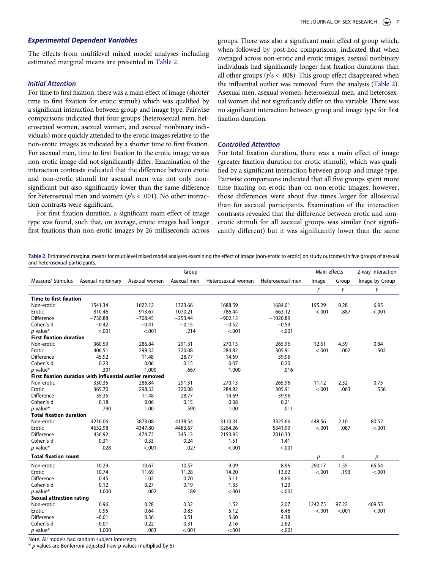# *Experimental Dependent Variables*

The effects from multilevel mixed model analyses including estimated marginal means are presented in [Table 2](#page-7-0).

#### *Initial Attention*

For time to first fixation, there was a main effect of image (shorter time to first fixation for erotic stimuli) which was qualified by a significant interaction between group and image type. Pairwise comparisons indicated that four groups (heterosexual men, heterosexual women, asexual women, and asexual nonbinary individuals) more quickly attended to the erotic images relative to the non-erotic images as indicated by a shorter time to first fixation. For asexual men, time to first fixation to the erotic image versus non-erotic image did not significantly differ. Examination of the interaction contrasts indicated that the difference between erotic and non-erotic stimuli for asexual men was not only nonsignificant but also significantly lower than the same difference for heterosexual men and women (*p*'s < .001). No other interaction contrasts were significant.

For first fixation duration, a significant main effect of image type was found, such that, on average, erotic images had longer first fixations than non-erotic images by 26 milliseconds across groups. There was also a significant main effect of group which, when followed by post-hoc comparisons, indicated that when averaged across non-erotic and erotic images, asexual nonbinary individuals had significantly longer first fixation durations than all other groups (*p*'s < .008). This group effect disappeared when the influential outlier was removed from the analysis [\(Table 2](#page-7-0)). Asexual men, asexual women, heterosexual men, and heterosexual women did not significantly differ on this variable. There was no significant interaction between group and image type for first fixation duration.

# *Controlled Attention*

For total fixation duration, there was a main effect of image (greater fixation duration for erotic stimuli), which was qualified by a significant interaction between group and image type. Pairwise comparisons indicated that all five groups spent more time fixating on erotic than on non-erotic images; however, those differences were about five times larger for allosexual than for asexual participants. Examination of the interaction contrasts revealed that the difference between erotic and nonerotic stimuli for all asexual groups was similar (not significantly different) but it was significantly lower than the same

<span id="page-7-0"></span>**Table 2.** Estimated marginal means for multilevel mixed model analyses examining the effect of image (non-erotic to erotic) on study outcomes in five groups of asexual and heterosexual participants.

|                                 |                                                          |               | Group       |                    |                  | Main effects |        | 2-way interaction |
|---------------------------------|----------------------------------------------------------|---------------|-------------|--------------------|------------------|--------------|--------|-------------------|
| Measure/ Stimulus               | Asexual nonbinary                                        | Asexual women | Asexual men | Heterosexual women | Heterosexual men | Image        | Group  | Image by Group    |
|                                 |                                                          |               |             |                    |                  | F            | F      | F                 |
| <b>Time to first fixation</b>   |                                                          |               |             |                    |                  |              |        |                   |
| Non-erotic                      | 1541.34                                                  | 1622.12       | 1323.66     | 1688.59            | 1684.01          | 195.29       | 0.28   | 6.95              |
| Erotic                          | 810.46                                                   | 913.67        | 1070.21     | 786.44             | 663.12           | < .001       | .887   | < .001            |
| Difference                      | $-730.88$                                                | $-708.45$     | $-253.44$   | $-902.15$          | $-1020.89$       |              |        |                   |
| Cohen's d                       | $-0.42$                                                  | $-0.41$       | $-0.15$     | $-0.52$            | $-0.59$          |              |        |                   |
| $p$ value*                      | < .001                                                   | < .001        | .214        | < .001             | < .001           |              |        |                   |
| <b>First fixation duration</b>  |                                                          |               |             |                    |                  |              |        |                   |
| Non-erotic                      | 360.59                                                   | 286.84        | 291.31      | 270.13             | 265.96           | 12.61        | 4.59   | 0.84              |
| Erotic                          | 406.51                                                   | 298.32        | 320.08      | 284.82             | 305.91           | < .001       | .002   | .502              |
| Difference                      | 45.92                                                    | 11.48         | 28.77       | 14.69              | 39.96            |              |        |                   |
| Cohen's d                       | 0.23                                                     | 0.06          | 0.15        | 0.07               | 0.20             |              |        |                   |
| $p$ value*                      | .301                                                     | 1.000         | .667        | 1.000              | .016             |              |        |                   |
|                                 | First fixation duration with influential outlier removed |               |             |                    |                  |              |        |                   |
| Non-erotic                      | 330.35                                                   | 286.84        | 291.31      | 270.13             | 265.96           | 11.12        | 2.32   | 0.75              |
| Erotic                          | 365.70                                                   | 298.32        | 320.08      | 284.82             | 305.91           | < .001       | .063   | .556              |
| Difference                      | 35.35                                                    | 11.48         | 28.77       | 14.69              | 39.96            |              |        |                   |
| Cohen's d                       | 0.18                                                     | 0.06          | 0.15        | 0.08               | 0.21             |              |        |                   |
| $p$ value*                      | .790                                                     | 1.00          | .590        | 1.00               | .011             |              |        |                   |
| <b>Total fixation duration</b>  |                                                          |               |             |                    |                  |              |        |                   |
| Non-erotic                      | 4216.06                                                  | 3873.08       | 4138.54     | 3110.31            | 3325.66          | 448.56       | 2.10   | 80.52             |
| Erotic                          | 4652.98                                                  | 4347.80       | 4483.67     | 5264.26            | 5341.99          | < .001       | .087   | < .001            |
| Difference                      | 436.92                                                   | 474.72        | 345.13      | 2153.95            | 2016.33          |              |        |                   |
| Cohen's d                       | 0.31                                                     | 0.33          | 0.24        | 1.51               | 1.41             |              |        |                   |
| $p$ value*                      | .028                                                     | < .001        | .027        | < .001             | < .001           |              |        |                   |
| <b>Total fixation count</b>     |                                                          |               |             |                    |                  | р            | p      | p                 |
| Non-erotic                      | 10.29                                                    | 10.67         | 10.57       | 9.09               | 8.96             | 290.17       | 1.55   | 65.54             |
| Erotic                          | 10.74                                                    | 11.69         | 11.28       | 14.20              | 13.62            | < .001       | .193   | < .001            |
| Difference                      | 0.45                                                     | 1.02          | 0.70        | 5.11               | 4.66             |              |        |                   |
| Cohen's d                       | 0.12                                                     | 0.27          | 0.19        | 1.35               | 1.23             |              |        |                   |
| $p$ value*                      | 1.000                                                    | .002          | .189        | < .001             | < .001           |              |        |                   |
| <b>Sexual attraction rating</b> |                                                          |               |             |                    |                  |              |        |                   |
| Non-erotic                      | 0.96                                                     | 0.28          | 0.32        | 1.52               | 2.07             | 1242.75      | 97.22  | 409.55            |
| Erotic                          | 0.95                                                     | 0.64          | 0.83        | 5.12               | 6.46             | < .001       | < .001 | < .001            |
| <b>Difference</b>               | $-0.01$                                                  | 0.36          | 0.51        | 3.60               | 4.38             |              |        |                   |
| Cohen's d                       | $-0.01$                                                  | 0.22          | 0.31        | 2.16               | 2.62             |              |        |                   |
| $p$ value*                      | 1.000                                                    | .003          | < .001      | < .001             | < .001           |              |        |                   |

Note. All models had random subject intercepts.

\* *p* values are Bonferroni adjusted (raw *p* values multiplied by 5)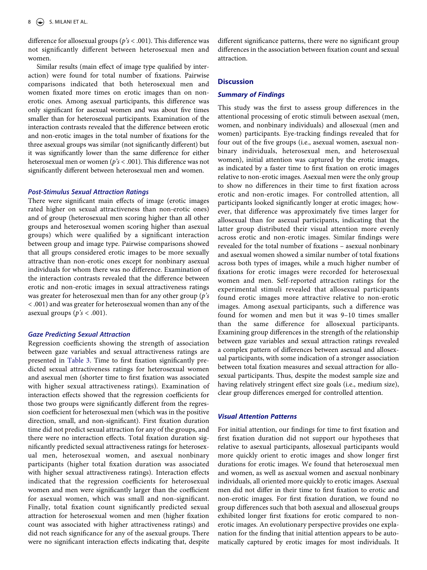difference for allosexual groups (*p's* < .001). This difference was not significantly different between heterosexual men and women.

Similar results (main effect of image type qualified by interaction) were found for total number of fixations. Pairwise comparisons indicated that both heterosexual men and women fixated more times on erotic images than on nonerotic ones. Among asexual participants, this difference was only significant for asexual women and was about five times smaller than for heterosexual participants. Examination of the interaction contrasts revealed that the difference between erotic and non-erotic images in the total number of fixations for the three asexual groups was similar (not significantly different) but it was significantly lower than the same difference for either heterosexual men or women (*p's* < .001). This difference was not significantly different between heterosexual men and women.

#### *Post-Stimulus Sexual Attraction Ratings*

There were significant main effects of image (erotic images rated higher on sexual attractiveness than non-erotic ones) and of group (heterosexual men scoring higher than all other groups and heterosexual women scoring higher than asexual groups) which were qualified by a significant interaction between group and image type. Pairwise comparisons showed that all groups considered erotic images to be more sexually attractive than non-erotic ones except for nonbinary asexual individuals for whom there was no difference. Examination of the interaction contrasts revealed that the difference between erotic and non-erotic images in sexual attractiveness ratings was greater for heterosexual men than for any other group (*p's*  < .001) and was greater for heterosexual women than any of the asexual groups ( $p's < .001$ ).

# *Gaze Predicting Sexual Attraction*

Regression coefficients showing the strength of association between gaze variables and sexual attractiveness ratings are presented in [Table 3.](#page-10-6) Time to first fixation significantly predicted sexual attractiveness ratings for heterosexual women and asexual men (shorter time to first fixation was associated with higher sexual attractiveness ratings). Examination of interaction effects showed that the regression coefficients for those two groups were significantly different from the regression coefficient for heterosexual men (which was in the positive direction, small, and non-significant). First fixation duration time did not predict sexual attraction for any of the groups, and there were no interaction effects. Total fixation duration significantly predicted sexual attractiveness ratings for heterosexual men, heterosexual women, and asexual nonbinary participants (higher total fixation duration was associated with higher sexual attractiveness ratings). Interaction effects indicated that the regression coefficients for heterosexual women and men were significantly larger than the coefficient for asexual women, which was small and non-significant. Finally, total fixation count significantly predicted sexual attraction for heterosexual women and men (higher fixation count was associated with higher attractiveness ratings) and did not reach significance for any of the asexual groups. There were no significant interaction effects indicating that, despite

different significance patterns, there were no significant group differences in the association between fixation count and sexual attraction.

#### **Discussion**

# *Summary of Findings*

This study was the first to assess group differences in the attentional processing of erotic stimuli between asexual (men, women, and nonbinary individuals) and allosexual (men and women) participants. Eye-tracking findings revealed that for four out of the five groups (i.e., asexual women, asexual nonbinary individuals, heterosexual men, and heterosexual women), initial attention was captured by the erotic images, as indicated by a faster time to first fixation on erotic images relative to non-erotic images. Asexual men were the only group to show no differences in their time to first fixation across erotic and non-erotic images. For controlled attention, all participants looked significantly longer at erotic images; however, that difference was approximately five times larger for allosexual than for asexual participants, indicating that the latter group distributed their visual attention more evenly across erotic and non-erotic images. Similar findings were revealed for the total number of fixations – asexual nonbinary and asexual women showed a similar number of total fixations across both types of images, while a much higher number of fixations for erotic images were recorded for heterosexual women and men. Self-reported attraction ratings for the experimental stimuli revealed that allosexual participants found erotic images more attractive relative to non-erotic images. Among asexual participants, such a difference was found for women and men but it was 9–10 times smaller than the same difference for allosexual participants. Examining group differences in the strength of the relationship between gaze variables and sexual attraction ratings revealed a complex pattern of differences between asexual and allosexual participants, with some indication of a stronger association between total fixation measures and sexual attraction for allosexual participants. Thus, despite the modest sample size and having relatively stringent effect size goals (i.e., medium size), clear group differences emerged for controlled attention.

# *Visual Attention Patterns*

For initial attention, our findings for time to first fixation and first fixation duration did not support our hypotheses that relative to asexual participants, allosexual participants would more quickly orient to erotic images and show longer first durations for erotic images. We found that heterosexual men and women, as well as asexual women and asexual nonbinary individuals, all oriented more quickly to erotic images. Asexual men did not differ in their time to first fixation to erotic and non-erotic images. For first fixation duration, we found no group differences such that both asexual and allosexual groups exhibited longer first fixations for erotic compared to nonerotic images. An evolutionary perspective provides one explanation for the finding that initial attention appears to be automatically captured by erotic images for most individuals. It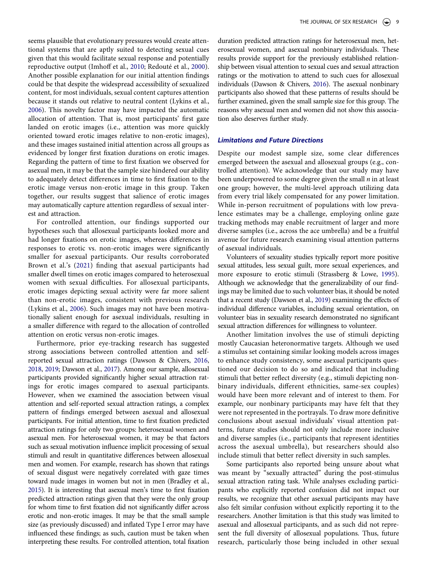<span id="page-9-2"></span>seems plausible that evolutionary pressures would create attentional systems that are aptly suited to detecting sexual cues given that this would facilitate sexual response and potentially reproductive output (Imhoff et al., [2010](#page-11-29); Redouté et al., [2000](#page-11-30)). Another possible explanation for our initial attention findings could be that despite the widespread accessibility of sexualized content, for most individuals, sexual content captures attention because it stands out relative to neutral content (Lykins et al., [2006](#page-11-31)). This novelty factor may have impacted the automatic allocation of attention. That is, most participants' first gaze landed on erotic images (i.e., attention was more quickly oriented toward erotic images relative to non-erotic images), and these images sustained initial attention across all groups as evidenced by longer first fixation durations on erotic images. Regarding the pattern of time to first fixation we observed for asexual men, it may be that the sample size hindered our ability to adequately detect differences in time to first fixation to the erotic image versus non-erotic image in this group. Taken together, our results suggest that salience of erotic images may automatically capture attention regardless of sexual interest and attraction.

For controlled attention, our findings supported our hypotheses such that allosexual participants looked more and had longer fixations on erotic images, whereas differences in responses to erotic vs. non-erotic images were significantly smaller for asexual participants. Our results corroborated Brown et al.'s [\(2021\)](#page-11-23) finding that asexual participants had smaller dwell times on erotic images compared to heterosexual women with sexual difficulties. For allosexual participants, erotic images depicting sexual activity were far more salient than non-erotic images, consistent with previous research (Lykins et al., [2006](#page-11-31)). Such images may not have been motivationally salient enough for asexual individuals, resulting in a smaller difference with regard to the allocation of controlled attention on erotic versus non-erotic images.

<span id="page-9-3"></span><span id="page-9-0"></span>Furthermore, prior eye-tracking research has suggested strong associations between controlled attention and selfreported sexual attraction ratings (Dawson & Chivers, [2016,](#page-11-9) [2018,](#page-11-10) [2019](#page-11-11); Dawson et al., [2017](#page-11-12)). Among our sample, allosexual participants provided significantly higher sexual attraction ratings for erotic images compared to asexual participants. However, when we examined the association between visual attention and self-reported sexual attraction ratings, a complex pattern of findings emerged between asexual and allosexual participants. For initial attention, time to first fixation predicted attraction ratings for only two groups: heterosexual women and asexual men. For heterosexual women, it may be that factors such as sexual motivation influence implicit processing of sexual stimuli and result in quantitative differences between allosexual men and women. For example, research has shown that ratings of sexual disgust were negatively correlated with gaze times toward nude images in women but not in men (Bradley et al., [2015\)](#page-10-7). It is interesting that asexual men's time to first fixation predicted attraction ratings given that they were the only group for whom time to first fixation did not significantly differ across erotic and non-erotic images. It may be that the small sample size (as previously discussed) and inflated Type I error may have influenced these findings; as such, caution must be taken when interpreting these results. For controlled attention, total fixation

duration predicted attraction ratings for heterosexual men, heterosexual women, and asexual nonbinary individuals. These results provide support for the previously established relationship between visual attention to sexual cues and sexual attraction ratings or the motivation to attend to such cues for allosexual individuals (Dawson & Chivers, [2016\)](#page-11-9). The asexual nonbinary participants also showed that these patterns of results should be further examined, given the small sample size for this group. The reasons why asexual men and women did not show this association also deserves further study.

#### *Limitations and Future Directions*

Despite our modest sample size, some clear differences emerged between the asexual and allosexual groups (e.g., controlled attention). We acknowledge that our study may have been underpowered to some degree given the small *n* in at least one group; however, the multi-level approach utilizing data from every trial likely compensated for any power limitation. While in-person recruitment of populations with low prevalence estimates may be a challenge, employing online gaze tracking methods may enable recruitment of larger and more diverse samples (i.e., across the ace umbrella) and be a fruitful avenue for future research examining visual attention patterns of asexual individuals.

<span id="page-9-4"></span>Volunteers of sexuality studies typically report more positive sexual attitudes, less sexual guilt, more sexual experiences, and more exposure to erotic stimuli (Strassberg & Lowe, [1995](#page-11-32)). Although we acknowledge that the generalizability of our findings may be limited due to such volunteer bias, it should be noted that a recent study (Dawson et al., [2019\)](#page-11-33) examining the effects of individual difference variables, including sexual orientation, on volunteer bias in sexuality research demonstrated no significant sexual attraction differences for willingness to volunteer.

<span id="page-9-1"></span>Another limitation involves the use of stimuli depicting mostly Caucasian heteronormative targets. Although we used a stimulus set containing similar looking models across images to enhance study consistency, some asexual participants questioned our decision to do so and indicated that including stimuli that better reflect diversity (e.g., stimuli depicting nonbinary individuals, different ethnicities, same-sex couples) would have been more relevant and of interest to them. For example, our nonbinary participants may have felt that they were not represented in the portrayals. To draw more definitive conclusions about asexual individuals' visual attention patterns, future studies should not only include more inclusive and diverse samples (i.e., participants that represent identities across the asexual umbrella), but researchers should also include stimuli that better reflect diversity in such samples.

Some participants also reported being unsure about what was meant by "sexually attracted" during the post-stimulus sexual attraction rating task. While analyses excluding participants who explicitly reported confusion did not impact our results, we recognize that other asexual participants may have also felt similar confusion without explicitly reporting it to the researchers. Another limitation is that this study was limited to asexual and allosexual participants, and as such did not represent the full diversity of allosexual populations. Thus, future research, particularly those being included in other sexual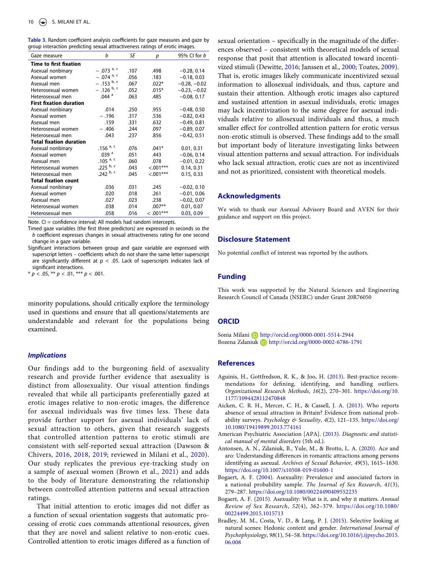<span id="page-10-6"></span>

|  |  | Table 3. Random coefficient analysis coefficients for gaze measures and gaze by |  |  |  |
|--|--|---------------------------------------------------------------------------------|--|--|--|
|  |  | group interaction predicting sexual attractiveness ratings of erotic images.    |  |  |  |

| Gaze measure                   | b                       | SE   | р           | 95% CI for <i>b</i> |
|--------------------------------|-------------------------|------|-------------|---------------------|
| Time to first fixation         |                         |      |             |                     |
| Asexual nonbinary              | $-.073$ <sup>a, c</sup> | .107 | .498        | $-0.28, 0.14$       |
| Asexual women                  | $-.074$ <sup>a, c</sup> | .056 | .183        | $-0.18, 0.03$       |
| Asexual men                    | $- .153$ b, c           | .067 | $.022*$     | $-0.28, -0.02$      |
| Heterosexual women             | $-.126$ b, c            | .052 | $.015*$     | $-0.23, -0.02$      |
| Heterosexual men               | $.044$ <sup>a</sup>     | .063 | .485        | $-0.08, 0.17$       |
| <b>First fixation duration</b> |                         |      |             |                     |
| Asexual nonbinary              | .014                    | .250 | .955        | $-0.48, 0.50$       |
| Asexual women                  | $-.196$                 | .317 | .536        | $-0.82, 0.43$       |
| Asexual men                    | .159                    | .331 | .632        | $-0.49, 0.81$       |
| Heterosexual women             | $-.406$                 | .244 | .097        | $-0.89, 0.07$       |
| Heterosexual men               | .043                    | .237 | .856        | $-0.42, 0.51$       |
| <b>Total fixation duration</b> |                         |      |             |                     |
| Asexual nonbinary              | .156 $a, c$             | .076 | $.041*$     | 0.01, 0.31          |
| Asexual women                  | .039 <sup>a</sup>       | .051 | .443        | $-0.06, 0.14$       |
| Asexual men                    | .105 $a, c$             | .060 | .078        | $-0.01, 0.22$       |
| Heterosexual women             | .225 $\frac{b}{c}$      | .043 | $< 0.01***$ | 0.14, 0.31          |
| Heterosexual men               | .242 $^{\rm b, c}$      | .045 | $< 0.01***$ | 0.15, 0.33          |
| <b>Total fixation count</b>    |                         |      |             |                     |
| Asexual nonbinary              | .036                    | .031 | .245        | $-0.02, 0.10$       |
| Asexual women                  | .020                    | .018 | .261        | $-0.01, 0.06$       |
| Asexual men                    | .027                    | .023 | .238        | $-0.02, 0.07$       |
| Heterosexual women             | .038                    | .014 | $.007**$    | 0.01, 0.07          |
| Heterosexual men               | .058                    | .016 | $< .001***$ | 0.03, 0.09          |

Note. CI = confidence interval; All models had random intercepts.

Timed gaze variables (the first three predictors) are expressed in seconds so the *b* coefficient expresses changes in sexual attractiveness rating for one second change in a gaze variable.

Significant interactions between group and gaze variable are expressed with superscript letters – coefficients which do not share the same letter superscript are significantly different at  $p < .05$ . Lack of superscripts indicates lack of significant interactions.

 $* p < .05, ** p < .01,*** p < .001.$ 

minority populations, should critically explore the terminology used in questions and ensure that all questions/statements are understandable and relevant for the populations being examined.

#### *Implications*

Our findings add to the burgeoning field of asexuality research and provide further evidence that asexuality is distinct from allosexuality. Our visual attention findings revealed that while all participants preferentially gazed at erotic images relative to non-erotic images, the difference for asexual individuals was five times less. These data provide further support for asexual individuals' lack of sexual attraction to others, given that research suggests that controlled attention patterns to erotic stimuli are consistent with self-reported sexual attraction (Dawson & Chivers, [2016](#page-11-9), [2018,](#page-11-10) [2019;](#page-11-11) reviewed in Milani et al., [2020](#page-11-14)). Our study replicates the previous eye-tracking study on a sample of asexual women (Brown et al., [2021\)](#page-11-23) and adds to the body of literature demonstrating the relationship between controlled attention patterns and sexual attraction ratings.

That initial attention to erotic images did not differ as a function of sexual orientation suggests that automatic processing of erotic cues commands attentional resources, given that they are novel and salient relative to non-erotic cues. Controlled attention to erotic images differed as a function of sexual orientation – specifically in the magnitude of the differences observed – consistent with theoretical models of sexual response that posit that attention is allocated toward incentivized stimuli (Dewitte, [2016](#page-11-0); Janssen et al., [2000](#page-11-1); Toates, [2009](#page-11-2)). That is, erotic images likely communicate incentivized sexual information to allosexual individuals, and thus, capture and sustain their attention. Although erotic images also captured and sustained attention in asexual individuals, erotic images may lack incentivization to the same degree for asexual individuals relative to allosexual individuals and thus, a much smaller effect for controlled attention pattern for erotic versus non-erotic stimuli is observed. These findings add to the small but important body of literature investigating links between visual attention patterns and sexual attraction. For individuals who lack sexual attraction, erotic cues are not as incentivized and not as prioritized, consistent with theoretical models.

#### **Acknowledgments**

We wish to thank our Asexual Advisory Board and AVEN for their guidance and support on this project.

#### **Disclosure Statement**

No potential conflict of interest was reported by the authors.

# **Funding**

This work was supported by the Natural Sciences and Engineering Research Council of Canada (NSERC) under Grant 20R76050

#### **ORCID**

Sonia Milani D http://orcid.org/0000-0001-5514-2944 Bozena Zdaniuk http://orcid.org/0000-0002-6786-1791

#### **References**

- <span id="page-10-5"></span>Aguinis, H., Gottfredson, R. K., & Joo, H. [\(2013\)](#page-5-0). Best-practice recommendations for defining, identifying, and handling outliers. *Organizational Research Methods*, *16*(2), 270–301. [https://doi.org/10.](https://doi.org/10.1177/1094428112470848)  [1177/1094428112470848](https://doi.org/10.1177/1094428112470848)
- <span id="page-10-1"></span>Aicken, C. R. H., Mercer, C. H., & Cassell, J. A. [\(2013](#page-2-0)). Who reports absence of sexual attraction in Britain? Evidence from national probability surveys. *Psychology & Sexuality*, *4*(2), 121–135. [https://doi.org/](https://doi.org/10.1080/19419899.2013.774161)  [10.1080/19419899.2013.774161](https://doi.org/10.1080/19419899.2013.774161)
- <span id="page-10-4"></span>American Psychiatric Association [APA]. [\(2013](#page-2-1)). *Diagnostic and statistical manual of mental disorders* (5th ed.).
- <span id="page-10-3"></span>Antonsen, A. N., Zdaniuk, B., Yule, M., & Brotto, L. A. [\(2020\)](#page-2-2). Ace and aro: Understanding differences in romantic attractions among persons identifying as asexual. *Archives of Sexual Behavior*, *49*(5), 1615–1630. <https://doi.org/10.1007/s10508-019-01600-1>
- <span id="page-10-2"></span>Bogaert, A. F. ([2004\)](#page-2-0). Asexuality: Prevalence and associated factors in a national probability sample. *The Journal of Sex Research*, *41*(3), 279–287. <https://doi.org/10.1080/00224490409552235>
- <span id="page-10-0"></span>Bogaert, A. F. [\(2015\)](#page-2-3). Asexuality: What is it, and why it matters. *Annual Review of Sex Research*, *52*(4), 362–379. [https://doi.org/10.1080/](https://doi.org/10.1080/00224499.2015.1015713) [00224499.2015.1015713](https://doi.org/10.1080/00224499.2015.1015713)
- <span id="page-10-7"></span>Bradley, M. M., Costa, V. D., & Lang, P. J. ([2015\)](#page-9-0). Selective looking at natural scenes: Hedonic content and gender. *International Journal of Psychophysiology*, *98*(1), 54–58. [https://doi.org/10.1016/j.ijpsycho.2015.](https://doi.org/10.1016/j.ijpsycho.2015.06.008) [06.008](https://doi.org/10.1016/j.ijpsycho.2015.06.008)